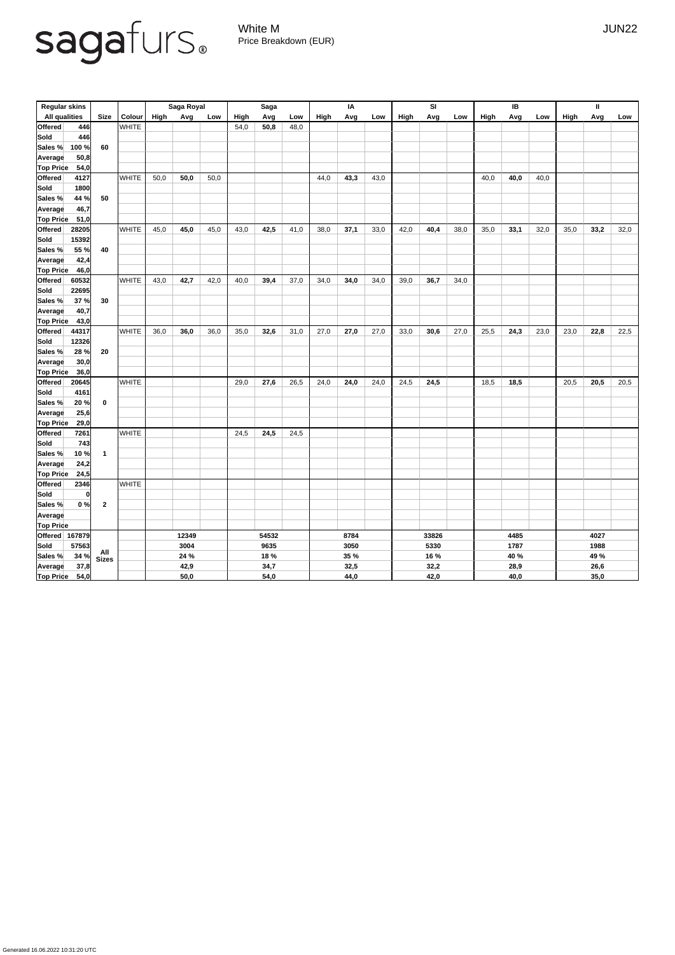## sagafurs.

White M JUN22 Price Breakdown (EUR)

| <b>Regular skins</b>     |                         |               | <b>Saga Royal</b> |       |      | <b>Saga</b> |       |      | IA   |             |      | SI          |      |      | IB   |      |      | $\mathbf{I}$ |      |      |  |
|--------------------------|-------------------------|---------------|-------------------|-------|------|-------------|-------|------|------|-------------|------|-------------|------|------|------|------|------|--------------|------|------|--|
| <b>All qualities</b>     | <b>Size</b>             | <b>Colour</b> | <b>High</b>       | Avg   | Low  | High        | Avg   | Low  | High | Avg         | Low  | <b>High</b> | Avg  | Low  | High | Avg  | Low  | <b>High</b>  | Avg  | Low  |  |
| <b>Offered</b><br>446    |                         | <b>WHITE</b>  |                   |       |      | 54,0        | 50,8  | 48,0 |      |             |      |             |      |      |      |      |      |              |      |      |  |
| <b>Sold</b><br>446       |                         |               |                   |       |      |             |       |      |      |             |      |             |      |      |      |      |      |              |      |      |  |
| 100 %<br>Sales %         | 60                      |               |                   |       |      |             |       |      |      |             |      |             |      |      |      |      |      |              |      |      |  |
| 50,8<br>Average          |                         |               |                   |       |      |             |       |      |      |             |      |             |      |      |      |      |      |              |      |      |  |
| <b>Top Price</b><br>54,0 |                         |               |                   |       |      |             |       |      |      |             |      |             |      |      |      |      |      |              |      |      |  |
| <b>Offered</b><br>4127   |                         | <b>WHITE</b>  | 50,0              | 50,0  | 50,0 |             |       |      | 44,0 | 43,3        | 43,0 |             |      |      | 40,0 | 40,0 | 40,0 |              |      |      |  |
| <b>Sold</b><br>1800      |                         |               |                   |       |      |             |       |      |      |             |      |             |      |      |      |      |      |              |      |      |  |
| 44 %<br>Sales %          | 50                      |               |                   |       |      |             |       |      |      |             |      |             |      |      |      |      |      |              |      |      |  |
| 46,7<br><b>Average</b>   |                         |               |                   |       |      |             |       |      |      |             |      |             |      |      |      |      |      |              |      |      |  |
| <b>Top Price</b><br>51,0 |                         |               |                   |       |      |             |       |      |      |             |      |             |      |      |      |      |      |              |      |      |  |
| 28205<br><b>Offered</b>  |                         | <b>WHITE</b>  | 45,0              | 45,0  | 45,0 | 43,0        | 42,5  | 41,0 | 38,0 | 37,1        | 33,0 | 42,0        | 40,4 | 38,0 | 35,0 | 33,1 | 32,0 | 35,0         | 33,2 | 32,0 |  |
| <b>Sold</b><br>15392     |                         |               |                   |       |      |             |       |      |      |             |      |             |      |      |      |      |      |              |      |      |  |
| 55 %<br>Sales %          | 40                      |               |                   |       |      |             |       |      |      |             |      |             |      |      |      |      |      |              |      |      |  |
| 42,4<br>Average          |                         |               |                   |       |      |             |       |      |      |             |      |             |      |      |      |      |      |              |      |      |  |
| Top Price<br>46,0        |                         |               |                   |       |      |             |       |      |      |             |      |             |      |      |      |      |      |              |      |      |  |
| <b>Offered</b><br>60532  |                         | <b>WHITE</b>  | 43,0              | 42,7  | 42,0 | 40,0        | 39,4  | 37,0 | 34,0 | 34,0        | 34,0 | 39,0        | 36,7 | 34,0 |      |      |      |              |      |      |  |
| <b>Sold</b><br>22695     |                         |               |                   |       |      |             |       |      |      |             |      |             |      |      |      |      |      |              |      |      |  |
| 37%<br>Sales %           | 30                      |               |                   |       |      |             |       |      |      |             |      |             |      |      |      |      |      |              |      |      |  |
| 40,7<br><b>Average</b>   |                         |               |                   |       |      |             |       |      |      |             |      |             |      |      |      |      |      |              |      |      |  |
| <b>Top Price</b><br>43,0 |                         |               |                   |       |      |             |       |      |      |             |      |             |      |      |      |      |      |              |      |      |  |
| <b>Offered</b><br>44317  |                         | <b>WHITE</b>  | 36,0              | 36,0  | 36,0 | 35,0        | 32,6  | 31,0 | 27,0 | 27,0        | 27,0 | 33,0        | 30,6 | 27,0 | 25,5 | 24,3 | 23,0 | 23,0         | 22,8 | 22,5 |  |
| 12326<br><b>Sold</b>     |                         |               |                   |       |      |             |       |      |      |             |      |             |      |      |      |      |      |              |      |      |  |
| 28%<br><b>Sales %</b>    | 20                      |               |                   |       |      |             |       |      |      |             |      |             |      |      |      |      |      |              |      |      |  |
| Average<br>30,0          |                         |               |                   |       |      |             |       |      |      |             |      |             |      |      |      |      |      |              |      |      |  |
| <b>Top Price</b><br>36,0 |                         |               |                   |       |      |             |       |      |      |             |      |             |      |      |      |      |      |              |      |      |  |
| Offered<br>20645         |                         | <b>WHITE</b>  |                   |       |      | 29,0        | 27,6  | 26,5 | 24,0 | 24,0        | 24,0 | 24,5        | 24,5 |      | 18,5 | 18,5 |      | 20,5         | 20,5 | 20,5 |  |
| Sold<br>4161             |                         |               |                   |       |      |             |       |      |      |             |      |             |      |      |      |      |      |              |      |      |  |
| 20%<br>Sales %           | $\mathbf 0$             |               |                   |       |      |             |       |      |      |             |      |             |      |      |      |      |      |              |      |      |  |
| 25,6<br>Average          |                         |               |                   |       |      |             |       |      |      |             |      |             |      |      |      |      |      |              |      |      |  |
| <b>Top Price</b><br>29,0 |                         |               |                   |       |      |             |       |      |      |             |      |             |      |      |      |      |      |              |      |      |  |
| Offered<br>7261          |                         | <b>WHITE</b>  |                   |       |      | 24,5        | 24,5  | 24,5 |      |             |      |             |      |      |      |      |      |              |      |      |  |
| Sold<br>743              |                         |               |                   |       |      |             |       |      |      |             |      |             |      |      |      |      |      |              |      |      |  |
| 10%<br>Sales %           | $\overline{\mathbf{1}}$ |               |                   |       |      |             |       |      |      |             |      |             |      |      |      |      |      |              |      |      |  |
| 24,2<br><b>Average</b>   |                         |               |                   |       |      |             |       |      |      |             |      |             |      |      |      |      |      |              |      |      |  |
| <b>Top Price</b><br>24,5 |                         |               |                   |       |      |             |       |      |      |             |      |             |      |      |      |      |      |              |      |      |  |
| Offered<br>2346          |                         | <b>WHITE</b>  |                   |       |      |             |       |      |      |             |      |             |      |      |      |      |      |              |      |      |  |
| Sold<br> 0               |                         |               |                   |       |      |             |       |      |      |             |      |             |      |      |      |      |      |              |      |      |  |
| 0%<br>Sales %            | $\boldsymbol{2}$        |               |                   |       |      |             |       |      |      |             |      |             |      |      |      |      |      |              |      |      |  |
|                          |                         |               |                   |       |      |             |       |      |      |             |      |             |      |      |      |      |      |              |      |      |  |
| Average                  |                         |               |                   |       |      |             |       |      |      |             |      |             |      |      |      |      |      |              |      |      |  |
| <b>Top Price</b>         |                         |               |                   | 12349 |      |             | 54532 |      |      | 8784        |      |             |      |      |      | 4485 |      |              | 4027 |      |  |
| Offered 167879           |                         |               | 3004              |       |      | 9635        |       |      |      |             |      | 33826       |      |      |      |      |      |              |      |      |  |
| Sold<br>57563            |                         |               |                   |       |      |             |       |      |      | 3050        |      |             | 5330 |      |      | 1787 |      |              | 1988 |      |  |
| 34 %<br>Sales %          | All<br>Sizes            |               | 24 %              |       |      | 18 %        |       |      |      | <b>35 %</b> |      |             | 16 % |      |      | 40 % |      |              | 49 % |      |  |
| 37,8<br><b>Average</b>   |                         |               |                   | 42,9  |      |             | 34,7  |      |      | 32,5        |      |             | 32,2 |      |      | 28,9 |      |              | 26,6 |      |  |
| <b>Top Price</b><br>54,0 |                         |               |                   | 50,0  |      |             | 54,0  |      |      | 44,0        |      |             | 42,0 |      |      | 40,0 |      |              | 35,0 |      |  |